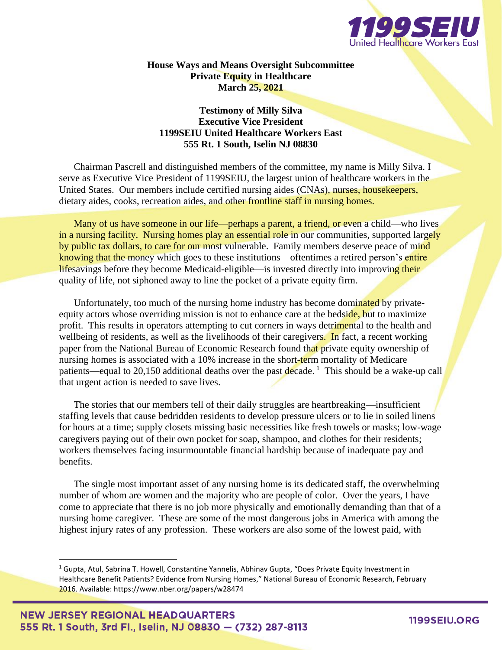

**House Ways and Means Oversight Subcommittee Private Equity in Healthcare March 25, 2021**

## **Testimony of Milly Silva Executive Vice President 1199SEIU United Healthcare Workers East 555 Rt. 1 South, Iselin NJ 08830**

Chairman Pascrell and distinguished members of the committee, my name is Milly Silva. I serve as Executive Vice President of 1199SEIU, the largest union of healthcare workers in the United States. Our members include certified nursing aides (CNAs), nurses, housekeepers, dietary aides, cooks, recreation aides, and other frontline staff in nursing homes.

Many of us have someone in our life—perhaps a parent, a friend, or even a child—who lives in a nursing facility. Nursing homes play an essential role in our communities, supported largely by public tax dollars, to care for our most vulnerable. Family members deserve peace of mind knowing that the money which goes to these institutions—oftentimes a retired person's entire lifesavings before they become Medicaid-eligible—is invested directly into improving their quality of life, not siphoned away to line the pocket of a private equity firm.

Unfortunately, too much of the nursing home industry has become dominated by privateequity actors whose overriding mission is not to enhance care at the bedside, but to maximize profit. This results in operators attempting to cut corners in ways detrimental to the health and wellbeing of residents, as well as the livelihoods of their caregivers. In fact, a recent working paper from the National Bureau of Economic Research found that private equity ownership of nursing homes is associated with a 10% increase in the short-term mortality of Medicare patients—equal to 20,150 additional deaths over the past decade.<sup>1</sup> This should be a wake-up call that urgent action is needed to save lives.

The stories that our members tell of their daily struggles are heartbreaking—insufficient staffing levels that cause bedridden residents to develop pressure ulcers or to lie in soiled linens for hours at a time; supply closets missing basic necessities like fresh towels or masks; low-wage caregivers paying out of their own pocket for soap, shampoo, and clothes for their residents; workers themselves facing insurmountable financial hardship because of inadequate pay and benefits.

The single most important asset of any nursing home is its dedicated staff, the overwhelming number of whom are women and the majority who are people of color. Over the years, I have come to appreciate that there is no job more physically and emotionally demanding than that of a nursing home caregiver. These are some of the most dangerous jobs in America with among the highest injury rates of any profession. These workers are also some of the lowest paid, with

<sup>&</sup>lt;sup>1</sup> Gupta, Atul, Sabrina T. Howell, Constantine Yannelis, Abhinav Gupta, "Does Private Equity Investment in Healthcare Benefit Patients? Evidence from Nursing Homes," National Bureau of Economic Research, February 2016. Available: https://www.nber.org/papers/w28474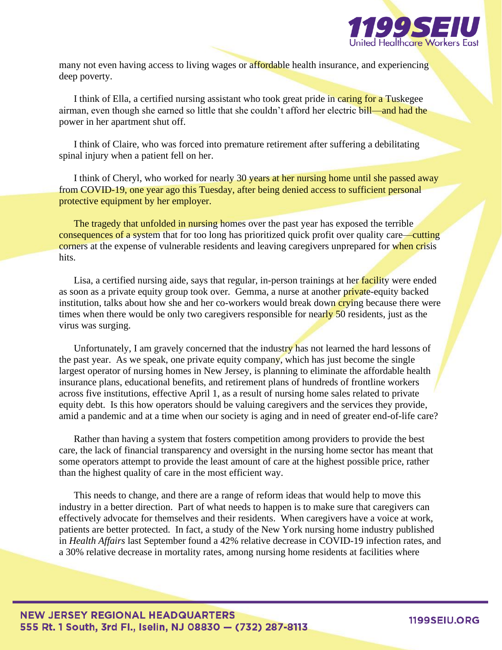

many not even having access to living wages or affordable health insurance, and experiencing deep poverty.

I think of Ella, a certified nursing assistant who took great pride in caring for a Tuskegee airman, even though she earned so little that she couldn't afford her electric bill—and had the power in her apartment shut off.

I think of Claire, who was forced into premature retirement after suffering a debilitating spinal injury when a patient fell on her.

I think of Cheryl, who worked for nearly 30 years at her nursing home until she passed away from COVID-19, one year ago this Tuesday, after being denied access to sufficient personal protective equipment by her employer.

The tragedy that unfolded in nursing homes over the past year has exposed the terrible consequences of a system that for too long has prioritized quick profit over quality care—cutting corners at the expense of vulnerable residents and leaving caregivers unprepared for when crisis hits.

Lisa, a certified nursing aide, says that regular, in-person trainings at her facility were ended as soon as a private equity group took over. Gemma, a nurse at another private-equity backed institution, talks about how she and her co-workers would break down crying because there were times when there would be only two caregivers responsible for nearly 50 residents, just as the virus was surging.

Unfortunately, I am gravely concerned that the industry has not learned the hard lessons of the past year. As we speak, one private equity company, which has just become the single largest operator of nursing homes in New Jersey, is planning to eliminate the affordable health insurance plans, educational benefits, and retirement plans of hundreds of frontline workers across five institutions, effective April 1, as a result of nursing home sales related to private equity debt. Is this how operators should be valuing caregivers and the services they provide, amid a pandemic and at a time when our society is aging and in need of greater end-of-life care?

Rather than having a system that fosters competition among providers to provide the best care, the lack of financial transparency and oversight in the nursing home sector has meant that some operators attempt to provide the least amount of care at the highest possible price, rather than the highest quality of care in the most efficient way.

This needs to change, and there are a range of reform ideas that would help to move this industry in a better direction. Part of what needs to happen is to make sure that caregivers can effectively advocate for themselves and their residents. When caregivers have a voice at work, patients are better protected. In fact, a study of the New York nursing home industry published in *Health Affairs* last September found a 42% relative decrease in COVID-19 infection rates, and a 30% relative decrease in mortality rates, among nursing home residents at facilities where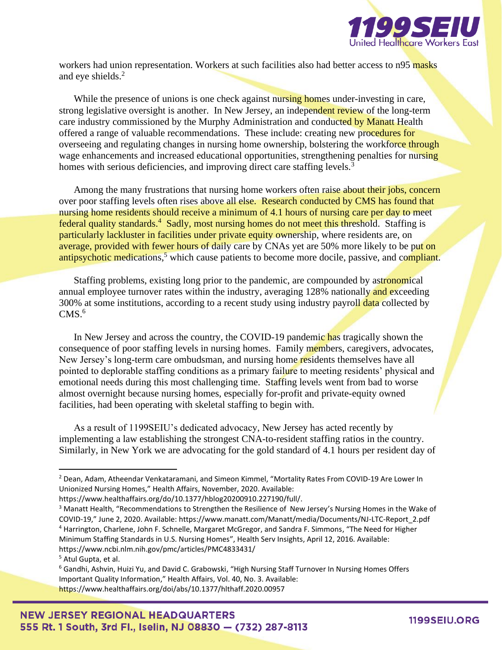

workers had union representation. Workers at such facilities also had better access to n95 masks and eye shields.<sup>2</sup>

While the presence of unions is one check against nursing homes under-investing in care, strong legislative oversight is another. In New Jersey, an independent review of the long-term care industry commissioned by the Murphy Administration and conducted by Manatt Health offered a range of valuable recommendations. These include: creating new procedures for overseeing and regulating changes in nursing home ownership, bolstering the workforce through wage enhancements and increased educational opportunities, strengthening penalties for nursing homes with serious deficiencies, and improving direct care staffing levels.<sup>3</sup>

Among the many frustrations that nursing home workers often raise about their jobs, concern over poor staffing levels often rises above all else. Research conducted by CMS has found that nursing home residents should receive a minimum of 4.1 hours of nursing care per day to meet federal quality standards.<sup>4</sup> Sadly, most nursing homes do not meet this threshold. Staffing is particularly lackluster in facilities under private equity ownership, where residents are, on average, provided with fewer hours of daily care by CNAs yet are 50% more likely to be put on antipsychotic medications,<sup>5</sup> which cause patients to become more docile, passive, and compliant.

Staffing problems, existing long prior to the pandemic, are compounded by astronomical annual employee turnover rates within the industry, averaging 128% nationally and exceeding 300% at some institutions, according to a recent study using industry payroll data collected by  $CMS<sup>6</sup>$ 

In New Jersey and across the country, the COVID-19 pandemic has tragically shown the consequence of poor staffing levels in nursing homes. Family members, caregivers, advocates, New Jersey's long-term care ombudsman, and nursing home residents themselves have all pointed to deplorable staffing conditions as a primary failure to meeting residents' physical and emotional needs during this most challenging time. Staffing levels went from bad to worse almost overnight because nursing homes, especially for-profit and private-equity owned facilities, had been operating with skeletal staffing to begin with.

As a result of 1199SEIU's dedicated advocacy, New Jersey has acted recently by implementing a law establishing the strongest CNA-to-resident staffing ratios in the country. Similarly, in New York we are advocating for the gold standard of 4.1 hours per resident day of

<sup>2</sup> Dean, Adam, Atheendar Venkataramani, and Simeon Kimmel, "Mortality Rates From COVID-19 Are Lower In Unionized Nursing Homes," Health Affairs, November, 2020. Available:

https://www.healthaffairs.org/do/10.1377/hblog20200910.227190/full/.

<sup>&</sup>lt;sup>3</sup> Manatt Health, "Recommendations to Strengthen the Resilience of New Jersey's Nursing Homes in the Wake of COVID-19," June 2, 2020. Available: https://www.manatt.com/Manatt/media/Documents/NJ-LTC-Report\_2.pdf <sup>4</sup> Harrington, Charlene, John F. Schnelle, Margaret McGregor, and Sandra F. Simmons, "The Need for Higher Minimum Staffing Standards in U.S. Nursing Homes", Health Serv Insights, April 12, 2016. Available: https://www.ncbi.nlm.nih.gov/pmc/articles/PMC4833431/

<sup>5</sup> Atul Gupta, et al.

<sup>&</sup>lt;sup>6</sup> Gandhi, Ashvin, Huizi Yu, and David C. Grabowski, "High Nursing Staff Turnover In Nursing Homes Offers Important Quality Information," Health Affairs, Vol. 40, No. 3. Available: https://www.healthaffairs.org/doi/abs/10.1377/hlthaff.2020.00957